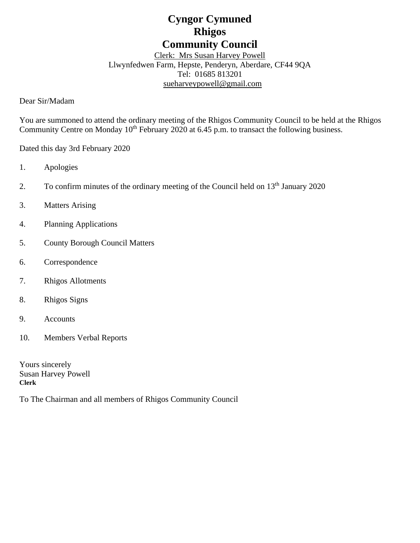# **Cyngor Cymuned Rhigos Community Council**

Clerk: Mrs Susan Harvey Powell Llwynfedwen Farm, Hepste, Penderyn, Aberdare, CF44 9QA Tel: 01685 813201 [sueharveypowell@g](mailto:sharveypowell@comin-infants.co.uk)mail.com

Dear Sir/Madam

You are summoned to attend the ordinary meeting of the Rhigos Community Council to be held at the Rhigos Community Centre on Monday 10<sup>th</sup> February 2020 at 6.45 p.m. to transact the following business.

Dated this day 3rd February 2020

- 1. Apologies
- 2. To confirm minutes of the ordinary meeting of the Council held on  $13<sup>th</sup>$  January 2020
- 3. Matters Arising
- 4. Planning Applications
- 5. County Borough Council Matters
- 6. Correspondence
- 7. Rhigos Allotments
- 8. Rhigos Signs
- 9. Accounts
- 10. Members Verbal Reports

Yours sincerely Susan Harvey Powell **Clerk**

To The Chairman and all members of Rhigos Community Council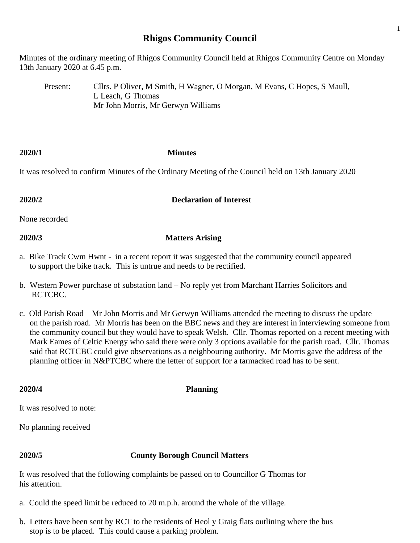# **Rhigos Community Council**

Minutes of the ordinary meeting of Rhigos Community Council held at Rhigos Community Centre on Monday 13th January 2020 at 6.45 p.m.

Present: Cllrs. P Oliver, M Smith, H Wagner, O Morgan, M Evans, C Hopes, S Maull, L Leach, G Thomas Mr John Morris, Mr Gerwyn Williams

### **2020/1 Minutes**

It was resolved to confirm Minutes of the Ordinary Meeting of the Council held on 13th January 2020

# **2020/2 Declaration of Interest**

None recorded

# **2020/3 Matters Arising**

- a. Bike Track Cwm Hwnt in a recent report it was suggested that the community council appeared to support the bike track. This is untrue and needs to be rectified.
- b. Western Power purchase of substation land No reply yet from Marchant Harries Solicitors and RCTCBC.
- c. Old Parish Road Mr John Morris and Mr Gerwyn Williams attended the meeting to discuss the update on the parish road. Mr Morris has been on the BBC news and they are interest in interviewing someone from the community council but they would have to speak Welsh. Cllr. Thomas reported on a recent meeting with Mark Eames of Celtic Energy who said there were only 3 options available for the parish road. Cllr. Thomas said that RCTCBC could give observations as a neighbouring authority. Mr Morris gave the address of the planning officer in N&PTCBC where the letter of support for a tarmacked road has to be sent.

# **2020/4 Planning**

It was resolved to note:

No planning received

### **2020/5 County Borough Council Matters**

It was resolved that the following complaints be passed on to Councillor G Thomas for his attention.

- a. Could the speed limit be reduced to 20 m.p.h. around the whole of the village.
- b. Letters have been sent by RCT to the residents of Heol y Graig flats outlining where the bus stop is to be placed. This could cause a parking problem.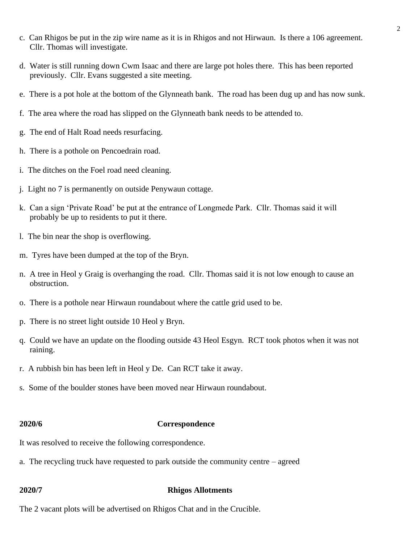- c. Can Rhigos be put in the zip wire name as it is in Rhigos and not Hirwaun. Is there a 106 agreement. Cllr. Thomas will investigate.
- d. Water is still running down Cwm Isaac and there are large pot holes there. This has been reported previously. Cllr. Evans suggested a site meeting.
- e. There is a pot hole at the bottom of the Glynneath bank. The road has been dug up and has now sunk.
- f. The area where the road has slipped on the Glynneath bank needs to be attended to.
- g. The end of Halt Road needs resurfacing.
- h. There is a pothole on Pencoedrain road.
- i. The ditches on the Foel road need cleaning.
- j. Light no 7 is permanently on outside Penywaun cottage.
- k. Can a sign 'Private Road' be put at the entrance of Longmede Park. Cllr. Thomas said it will probably be up to residents to put it there.
- l. The bin near the shop is overflowing.
- m. Tyres have been dumped at the top of the Bryn.
- n. A tree in Heol y Graig is overhanging the road. Cllr. Thomas said it is not low enough to cause an obstruction.
- o. There is a pothole near Hirwaun roundabout where the cattle grid used to be.
- p. There is no street light outside 10 Heol y Bryn.
- q. Could we have an update on the flooding outside 43 Heol Esgyn. RCT took photos when it was not raining.
- r. A rubbish bin has been left in Heol y De. Can RCT take it away.
- s. Some of the boulder stones have been moved near Hirwaun roundabout.

### **2020/6 Correspondence**

It was resolved to receive the following correspondence.

a. The recycling truck have requested to park outside the community centre – agreed

### **2020/7 Rhigos Allotments**

The 2 vacant plots will be advertised on Rhigos Chat and in the Crucible.